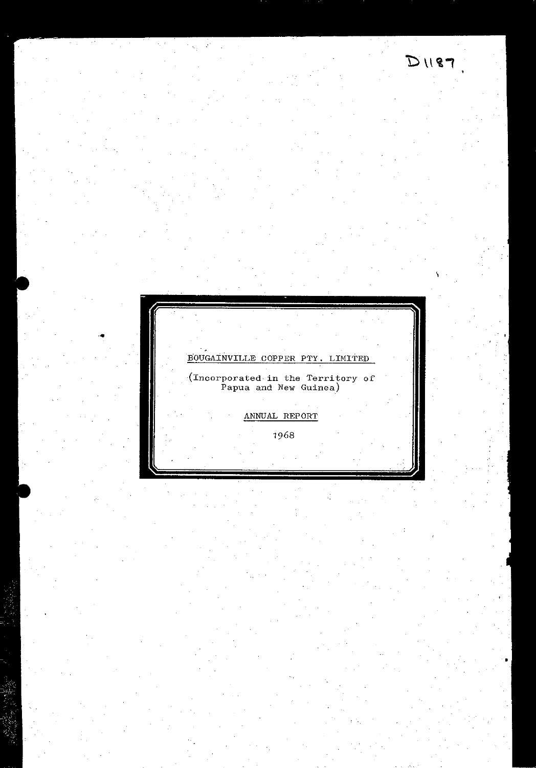

 $D1187$ 

 $\epsilon_{\rm{in}}$ 

BOUGAINVILLE COPPER PTY. LIMITED

 $\frac{1}{2}$  (Incorporated in the Territory of Papua and New Guinea)

ANNUAL REPORT

1968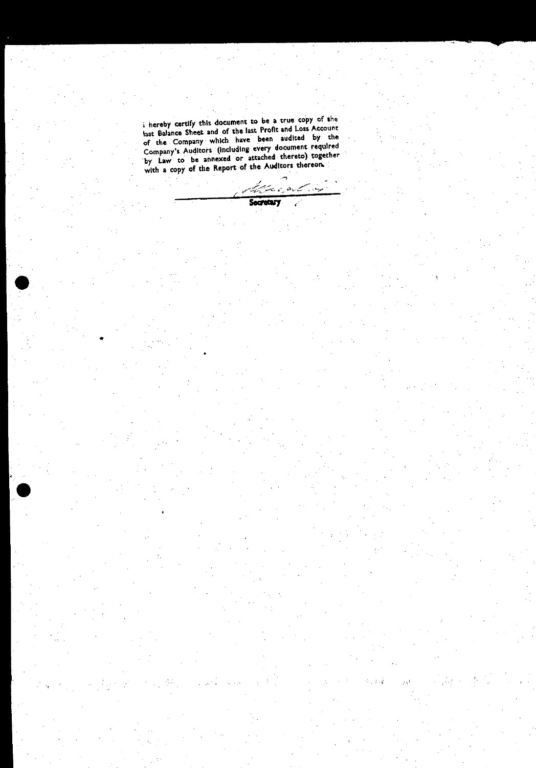i hereby certify this document to be a true copy of the last Balance Sheet and of the last Profit and Loss Account of the Company which have been audited by the Company's Auditors (including every document required by taw to be annexed or attached thereto) together with a copy of the Report of the Auditors thereon.

 $\bullet$ 

•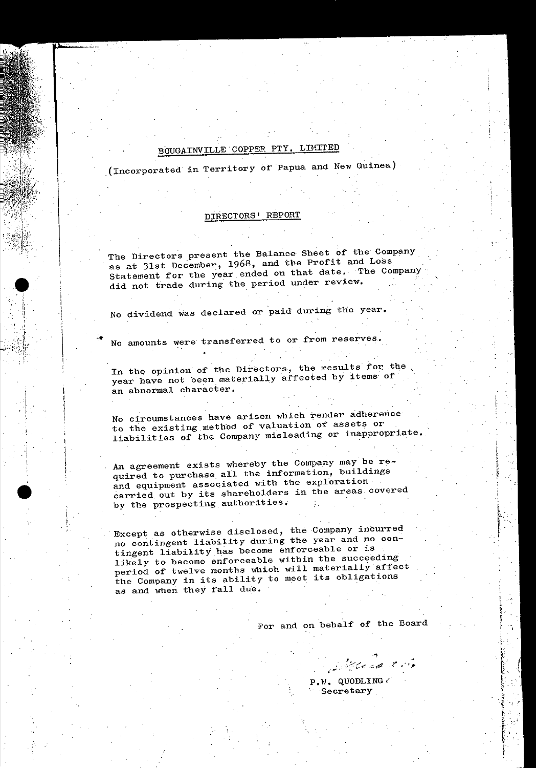## BOUGAINVILLE COPPER PTY, LIMITED

(Incorporated in Territory of Papua and New Guinea)

### DIRECTORS' REPORT

The Directors present the Balance Sheet of the Company as at 31st December, 1968, and the Profit and Loss Statement for the year ended on that date. The Company did not trade during the period under review.

No dividend was declared or paid during the year.

No amounts were transferred to or from reserves.

In the opinion of the Directors, the results for the year have not been materially affected by items of an abnormal character.

No circumstances have arisen which render adherence to the existing method of valuation of assets or liabilities of the Company misleading or inappropriate.

An agreement exists whereby the Company may be required to purchase all the information, buildings and equipment associated with the exploration carried out by its shareholders in the areas covered by the prospecting authorities.

Except as otherwise disclosed, the Company incurred no contingent liability during the year and no contingent liability has become enforceable or is likely to become enforceable within the succeeding period of twelve months which will materially affect the Company in its ability to meet its obligations as and when they fall due.

For and on behalf of the Board

 $P.W.$  QUODLING  $\in$ Secretary

philade 15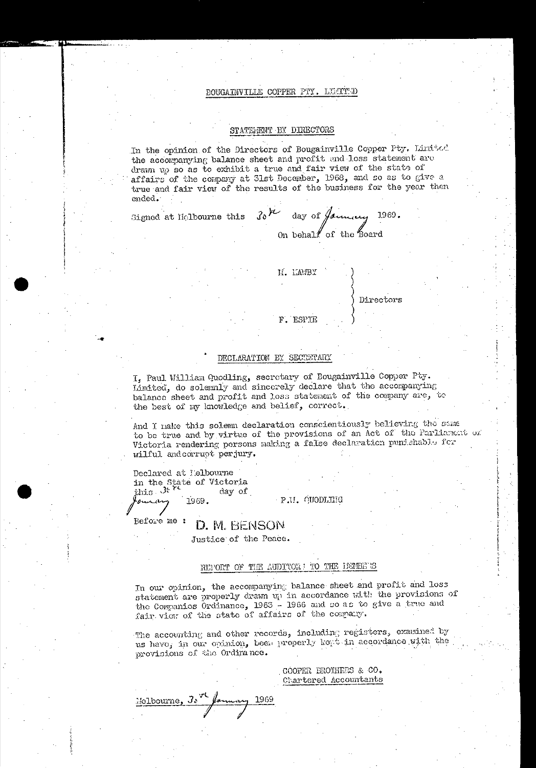#### BOUGAINVILLE COPPER PTY. LEATTED

#### STATEMENT BY DIRECTORS

In the opinion of the Directors of Bougainville Copper Pty. Limited the accompanying balance sheet and profit and loss statement are drawn up so as to exhibit a true and fair view of the state of affairs of the company at 31st December, 1968, and so as to give a true and fair view of the results of the business for the year then ended.

 $30^{12}$ day of January 1969. Signed at Mclbourne this

On behalf of the board

M. LAMBY

F. ESPIE

Directors

### DECLARATION BY SECRETARY

I, Paul William Quodling, secretary of Bougainville Copper Pty. Limited, do solemnly and sincerely declare that the accompanying balance sheet and profit and loss statement of the company are, to the best of my knowledge and belief, correct.

And I nake this solemn declaration conscientiously believing the same to be true and by virtue of the provisions of an Act of the Parliament or Victoria rendering persons making a false declaration punishable for wilful and corrupt perjury.

Declared at Melbourne in the State of Victoria<br>this State of Victoria<br>day of سىمىسە 1969.

P.U. QUODLEHG

Before me : D. M. BENSON

Justice of the Peace.

### REPORT OF THE AUDITOR: TO THE DETEEDS

In our opinion, the accompanying balance sheet and profit and loss statement are properly drawn up in accordance with the provisions of the Companies Ordinance, 1963 - 1966 and so as to give a true and fair view of the state of affairs of the company.

The accounting and other records, including registers, examined by us have, in our opinion, been properly kept in accordance with the provisions of the Ordinance.

> COOPER BROTHERS & CO. Chartered Accountants

Melbourne, 30 January  $\rightarrow$  1969